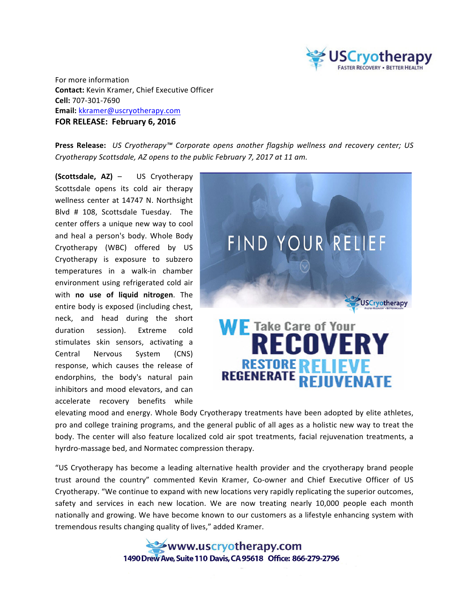

For more information **Contact:** Kevin Kramer, Chief Executive Officer **Cell:** 707-301-7690 **Email:** kkramer@uscryotherapy.com **FOR RELEASE: February 6, 2016**

**Press Release:** *US Cryotherapy™ Corporate opens another flagship wellness and recovery center; US Cryotherapy Scottsdale, AZ opens to the public February 7, 2017 at 11 am.*

**(Scottsdale, AZ)** – US Cryotherapy Scottsdale opens its cold air therapy wellness center at 14747 N. Northsight Blvd # 108, Scottsdale Tuesday. The center offers a unique new way to cool and heal a person's body. Whole Body Cryotherapy (WBC) offered by US Cryotherapy is exposure to subzero temperatures in a walk-in chamber environment using refrigerated cold air with **no use of liquid nitrogen**. The entire body is exposed (including chest, neck, and head during the short duration session). Extreme cold stimulates skin sensors, activating a Central Nervous System (CNS) response, which causes the release of endorphins, the body's natural pain inhibitors and mood elevators, and can accelerate recovery benefits while



elevating mood and energy. Whole Body Cryotherapy treatments have been adopted by elite athletes, pro and college training programs, and the general public of all ages as a holistic new way to treat the body. The center will also feature localized cold air spot treatments, facial rejuvenation treatments, a hyrdro-massage bed, and Normatec compression therapy.

"US Cryotherapy has become a leading alternative health provider and the cryotherapy brand people trust around the country" commented Kevin Kramer, Co-owner and Chief Executive Officer of US Cryotherapy. "We continue to expand with new locations very rapidly replicating the superior outcomes, safety and services in each new location. We are now treating nearly 10,000 people each month nationally and growing. We have become known to our customers as a lifestyle enhancing system with tremendous results changing quality of lives," added Kramer.

> www.uscryotherapy.com 1490 Drew Ave. Suite 110 Davis. CA 95618 Office: 866-279-2796